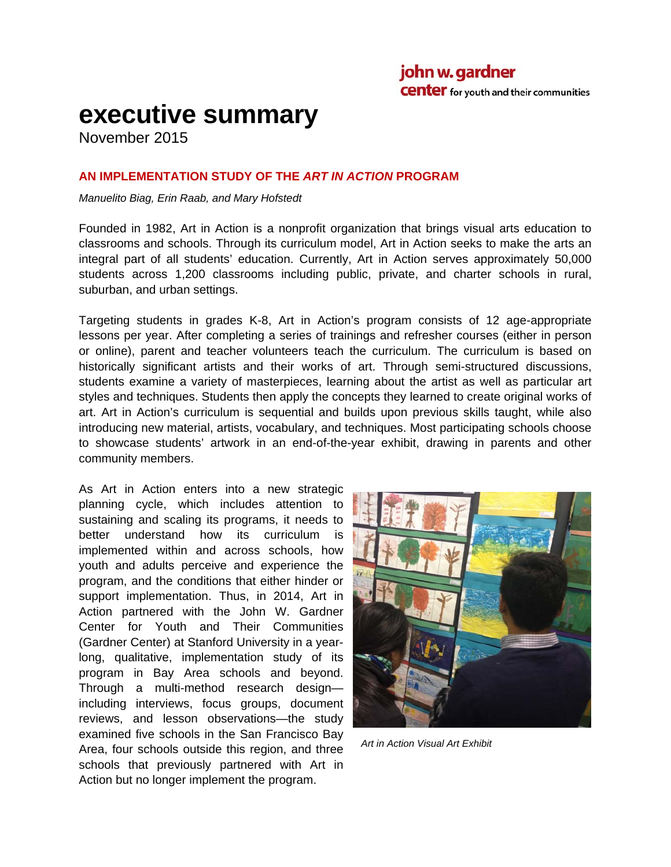# **executive summary**

November 2015

#### **AN IMPLEMENTATION STUDY OF THE** *ART IN ACTION* **PROGRAM**

*Manuelito Biag, Erin Raab, and Mary Hofstedt* 

Founded in 1982, Art in Action is a nonprofit organization that brings visual arts education to classrooms and schools. Through its curriculum model, Art in Action seeks to make the arts an integral part of all students' education. Currently, Art in Action serves approximately 50,000 students across 1,200 classrooms including public, private, and charter schools in rural, suburban, and urban settings.

Targeting students in grades K-8, Art in Action's program consists of 12 age-appropriate lessons per year. After completing a series of trainings and refresher courses (either in person or online), parent and teacher volunteers teach the curriculum. The curriculum is based on historically significant artists and their works of art. Through semi-structured discussions, students examine a variety of masterpieces, learning about the artist as well as particular art styles and techniques. Students then apply the concepts they learned to create original works of art. Art in Action's curriculum is sequential and builds upon previous skills taught, while also introducing new material, artists, vocabulary, and techniques. Most participating schools choose to showcase students' artwork in an end-of-the-year exhibit, drawing in parents and other community members.

As Art in Action enters into a new strategic planning cycle, which includes attention to sustaining and scaling its programs, it needs to better understand how its curriculum is implemented within and across schools, how youth and adults perceive and experience the program, and the conditions that either hinder or support implementation. Thus, in 2014, Art in Action partnered with the John W. Gardner Center for Youth and Their Communities (Gardner Center) at Stanford University in a yearlong, qualitative, implementation study of its program in Bay Area schools and beyond. Through a multi-method research design including interviews, focus groups, document reviews, and lesson observations—the study examined five schools in the San Francisco Bay Area, four schools outside this region, and three schools that previously partnered with Art in Action but no longer implement the program.



*Art in Action Visual Art Exhibit*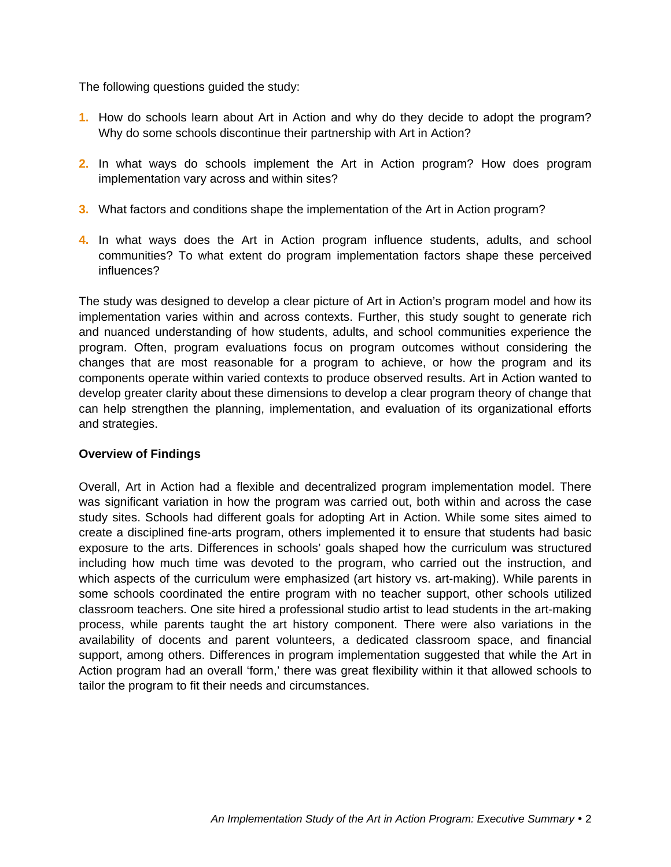The following questions guided the study:

- **1.** How do schools learn about Art in Action and why do they decide to adopt the program? Why do some schools discontinue their partnership with Art in Action?
- **2.** In what ways do schools implement the Art in Action program? How does program implementation vary across and within sites?
- **3.** What factors and conditions shape the implementation of the Art in Action program?
- **4.** In what ways does the Art in Action program influence students, adults, and school communities? To what extent do program implementation factors shape these perceived influences?

The study was designed to develop a clear picture of Art in Action's program model and how its implementation varies within and across contexts. Further, this study sought to generate rich and nuanced understanding of how students, adults, and school communities experience the program. Often, program evaluations focus on program outcomes without considering the changes that are most reasonable for a program to achieve, or how the program and its components operate within varied contexts to produce observed results. Art in Action wanted to develop greater clarity about these dimensions to develop a clear program theory of change that can help strengthen the planning, implementation, and evaluation of its organizational efforts and strategies.

#### **Overview of Findings**

Overall, Art in Action had a flexible and decentralized program implementation model. There was significant variation in how the program was carried out, both within and across the case study sites. Schools had different goals for adopting Art in Action. While some sites aimed to create a disciplined fine-arts program, others implemented it to ensure that students had basic exposure to the arts. Differences in schools' goals shaped how the curriculum was structured including how much time was devoted to the program, who carried out the instruction, and which aspects of the curriculum were emphasized (art history vs. art-making). While parents in some schools coordinated the entire program with no teacher support, other schools utilized classroom teachers. One site hired a professional studio artist to lead students in the art-making process, while parents taught the art history component. There were also variations in the availability of docents and parent volunteers, a dedicated classroom space, and financial support, among others. Differences in program implementation suggested that while the Art in Action program had an overall 'form,' there was great flexibility within it that allowed schools to tailor the program to fit their needs and circumstances.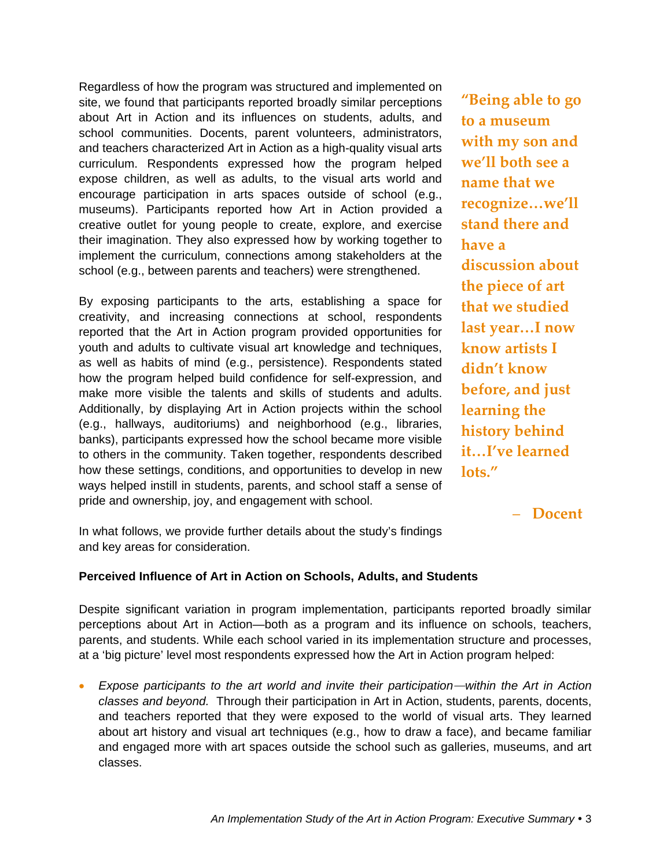Regardless of how the program was structured and implemented on site, we found that participants reported broadly similar perceptions about Art in Action and its influences on students, adults, and school communities. Docents, parent volunteers, administrators, and teachers characterized Art in Action as a high-quality visual arts curriculum. Respondents expressed how the program helped expose children, as well as adults, to the visual arts world and encourage participation in arts spaces outside of school (e.g., museums). Participants reported how Art in Action provided a creative outlet for young people to create, explore, and exercise their imagination. They also expressed how by working together to implement the curriculum, connections among stakeholders at the school (e.g., between parents and teachers) were strengthened.

By exposing participants to the arts, establishing a space for creativity, and increasing connections at school, respondents reported that the Art in Action program provided opportunities for youth and adults to cultivate visual art knowledge and techniques, as well as habits of mind (e.g., persistence). Respondents stated how the program helped build confidence for self-expression, and make more visible the talents and skills of students and adults. Additionally, by displaying Art in Action projects within the school (e.g., hallways, auditoriums) and neighborhood (e.g., libraries, banks), participants expressed how the school became more visible to others in the community. Taken together, respondents described how these settings, conditions, and opportunities to develop in new ways helped instill in students, parents, and school staff a sense of pride and ownership, joy, and engagement with school.

**"Being able to go to a museum with my son and we'll both see a name that we recognize…we'll stand there and have a discussion about the piece of art that we studied last year…I now know artists I didn't know before, and just learning the history behind it…I've learned lots."**

– **Docent**

In what follows, we provide further details about the study's findings and key areas for consideration.

#### **Perceived Influence of Art in Action on Schools, Adults, and Students**

Despite significant variation in program implementation, participants reported broadly similar perceptions about Art in Action—both as a program and its influence on schools, teachers, parents, and students. While each school varied in its implementation structure and processes, at a 'big picture' level most respondents expressed how the Art in Action program helped:

 *Expose participants to the art world and invite their participation—within the Art in Action classes and beyond.*Through their participation in Art in Action, students, parents, docents, and teachers reported that they were exposed to the world of visual arts. They learned about art history and visual art techniques (e.g., how to draw a face), and became familiar and engaged more with art spaces outside the school such as galleries, museums, and art classes.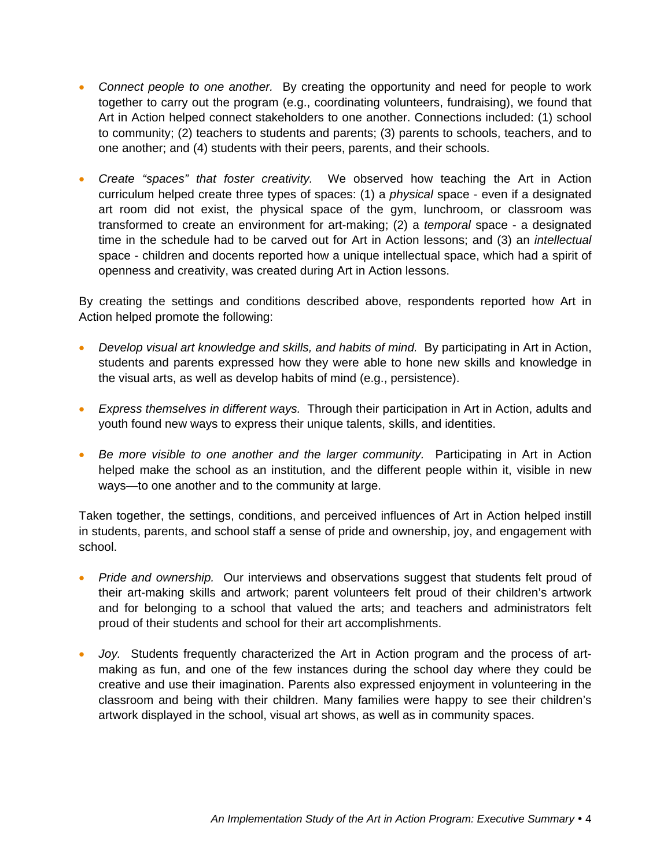- Connect people to one another. By creating the opportunity and need for people to work together to carry out the program (e.g., coordinating volunteers, fundraising), we found that Art in Action helped connect stakeholders to one another. Connections included: (1) school to community; (2) teachers to students and parents; (3) parents to schools, teachers, and to one another; and (4) students with their peers, parents, and their schools.
- *Create "spaces" that foster creativity.* We observed how teaching the Art in Action curriculum helped create three types of spaces: (1) a *physical* space - even if a designated art room did not exist, the physical space of the gym, lunchroom, or classroom was transformed to create an environment for art-making; (2) a *temporal* space - a designated time in the schedule had to be carved out for Art in Action lessons; and (3) an *intellectual*  space - children and docents reported how a unique intellectual space, which had a spirit of openness and creativity, was created during Art in Action lessons.

By creating the settings and conditions described above, respondents reported how Art in Action helped promote the following:

- *Develop visual art knowledge and skills, and habits of mind.* By participating in Art in Action, students and parents expressed how they were able to hone new skills and knowledge in the visual arts, as well as develop habits of mind (e.g., persistence).
- *Express themselves in different ways.* Through their participation in Art in Action, adults and youth found new ways to express their unique talents, skills, and identities.
- *Be more visible to one another and the larger community.* Participating in Art in Action helped make the school as an institution, and the different people within it, visible in new ways—to one another and to the community at large.

Taken together, the settings, conditions, and perceived influences of Art in Action helped instill in students, parents, and school staff a sense of pride and ownership, joy, and engagement with school.

- *Pride and ownership.* Our interviews and observations suggest that students felt proud of their art-making skills and artwork; parent volunteers felt proud of their children's artwork and for belonging to a school that valued the arts; and teachers and administrators felt proud of their students and school for their art accomplishments.
- *Joy.* Students frequently characterized the Art in Action program and the process of artmaking as fun, and one of the few instances during the school day where they could be creative and use their imagination. Parents also expressed enjoyment in volunteering in the classroom and being with their children. Many families were happy to see their children's artwork displayed in the school, visual art shows, as well as in community spaces.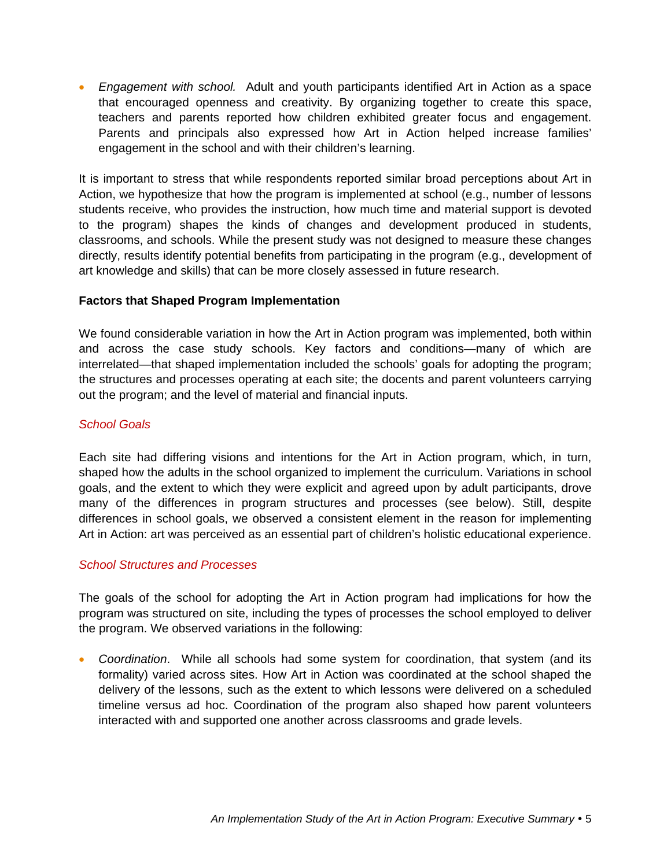*Engagement with school.*Adult and youth participants identified Art in Action as a space that encouraged openness and creativity. By organizing together to create this space, teachers and parents reported how children exhibited greater focus and engagement. Parents and principals also expressed how Art in Action helped increase families' engagement in the school and with their children's learning.

It is important to stress that while respondents reported similar broad perceptions about Art in Action, we hypothesize that how the program is implemented at school (e.g., number of lessons students receive, who provides the instruction, how much time and material support is devoted to the program) shapes the kinds of changes and development produced in students, classrooms, and schools. While the present study was not designed to measure these changes directly, results identify potential benefits from participating in the program (e.g., development of art knowledge and skills) that can be more closely assessed in future research.

#### **Factors that Shaped Program Implementation**

We found considerable variation in how the Art in Action program was implemented, both within and across the case study schools. Key factors and conditions—many of which are interrelated—that shaped implementation included the schools' goals for adopting the program; the structures and processes operating at each site; the docents and parent volunteers carrying out the program; and the level of material and financial inputs.

## *School Goals*

Each site had differing visions and intentions for the Art in Action program, which, in turn, shaped how the adults in the school organized to implement the curriculum. Variations in school goals, and the extent to which they were explicit and agreed upon by adult participants, drove many of the differences in program structures and processes (see below). Still, despite differences in school goals, we observed a consistent element in the reason for implementing Art in Action: art was perceived as an essential part of children's holistic educational experience.

#### *School Structures and Processes*

The goals of the school for adopting the Art in Action program had implications for how the program was structured on site, including the types of processes the school employed to deliver the program. We observed variations in the following:

 *Coordination*. While all schools had some system for coordination, that system (and its formality) varied across sites. How Art in Action was coordinated at the school shaped the delivery of the lessons, such as the extent to which lessons were delivered on a scheduled timeline versus ad hoc. Coordination of the program also shaped how parent volunteers interacted with and supported one another across classrooms and grade levels.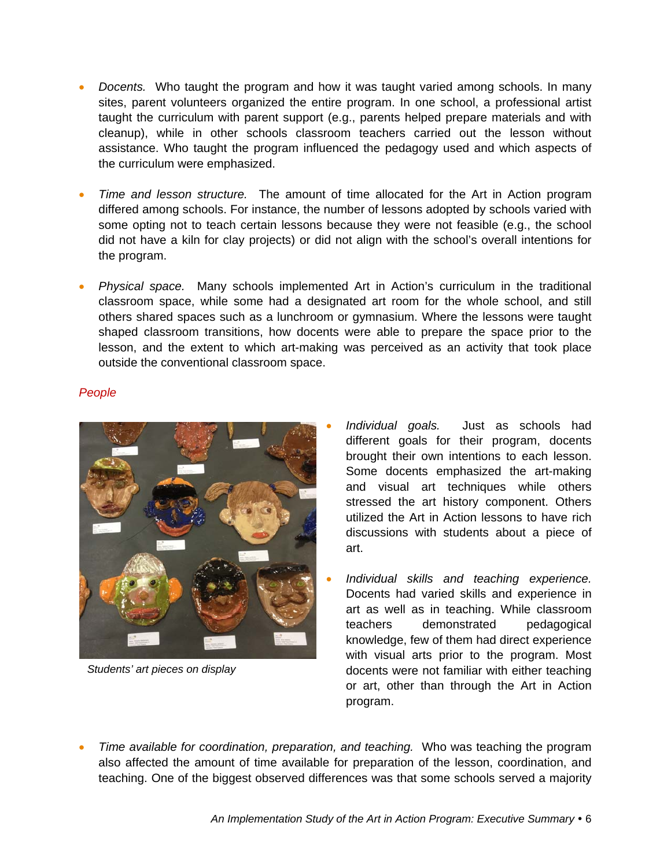- *Docents.* Who taught the program and how it was taught varied among schools. In many sites, parent volunteers organized the entire program. In one school, a professional artist taught the curriculum with parent support (e.g., parents helped prepare materials and with cleanup), while in other schools classroom teachers carried out the lesson without assistance. Who taught the program influenced the pedagogy used and which aspects of the curriculum were emphasized.
- *Time and lesson structure.* The amount of time allocated for the Art in Action program differed among schools. For instance, the number of lessons adopted by schools varied with some opting not to teach certain lessons because they were not feasible (e.g., the school did not have a kiln for clay projects) or did not align with the school's overall intentions for the program.
- *Physical space.* Many schools implemented Art in Action's curriculum in the traditional classroom space, while some had a designated art room for the whole school, and still others shared spaces such as a lunchroom or gymnasium. Where the lessons were taught shaped classroom transitions, how docents were able to prepare the space prior to the lesson, and the extent to which art-making was perceived as an activity that took place outside the conventional classroom space.

#### *People*



*Students' art pieces on display* 

- *Individual goals.*Just as schools had different goals for their program, docents brought their own intentions to each lesson. Some docents emphasized the art-making and visual art techniques while others stressed the art history component. Others utilized the Art in Action lessons to have rich discussions with students about a piece of art.
- *Individual skills and teaching experience.* Docents had varied skills and experience in art as well as in teaching. While classroom teachers demonstrated pedagogical knowledge, few of them had direct experience with visual arts prior to the program. Most docents were not familiar with either teaching or art, other than through the Art in Action program.
- *Time available for coordination, preparation, and teaching.* Who was teaching the program also affected the amount of time available for preparation of the lesson, coordination, and teaching. One of the biggest observed differences was that some schools served a majority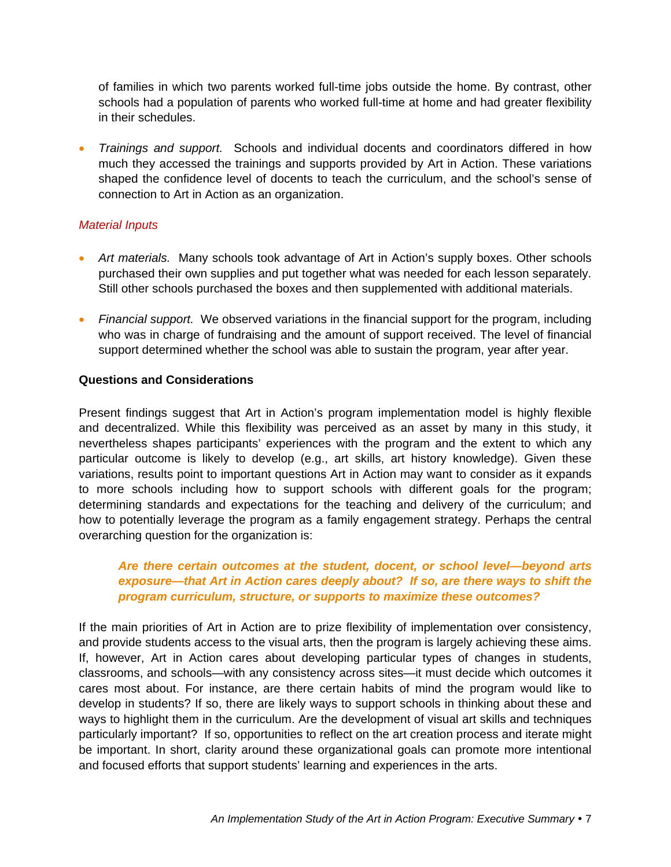of families in which two parents worked full-time jobs outside the home. By contrast, other schools had a population of parents who worked full-time at home and had greater flexibility in their schedules.

 *Trainings and support.*Schools and individual docents and coordinators differed in how much they accessed the trainings and supports provided by Art in Action. These variations shaped the confidence level of docents to teach the curriculum, and the school's sense of connection to Art in Action as an organization.

#### *Material Inputs*

- **•** Art materials. Many schools took advantage of Art in Action's supply boxes. Other schools purchased their own supplies and put together what was needed for each lesson separately. Still other schools purchased the boxes and then supplemented with additional materials.
- **•** Financial support. We observed variations in the financial support for the program, including who was in charge of fundraising and the amount of support received. The level of financial support determined whether the school was able to sustain the program, year after year.

## **Questions and Considerations**

Present findings suggest that Art in Action's program implementation model is highly flexible and decentralized. While this flexibility was perceived as an asset by many in this study, it nevertheless shapes participants' experiences with the program and the extent to which any particular outcome is likely to develop (e.g., art skills, art history knowledge). Given these variations, results point to important questions Art in Action may want to consider as it expands to more schools including how to support schools with different goals for the program; determining standards and expectations for the teaching and delivery of the curriculum; and how to potentially leverage the program as a family engagement strategy. Perhaps the central overarching question for the organization is:

## *Are there certain outcomes at the student, docent, or school level—beyond arts exposure—that Art in Action cares deeply about? If so, are there ways to shift the program curriculum, structure, or supports to maximize these outcomes?*

If the main priorities of Art in Action are to prize flexibility of implementation over consistency, and provide students access to the visual arts, then the program is largely achieving these aims. If, however, Art in Action cares about developing particular types of changes in students, classrooms, and schools—with any consistency across sites—it must decide which outcomes it cares most about. For instance, are there certain habits of mind the program would like to develop in students? If so, there are likely ways to support schools in thinking about these and ways to highlight them in the curriculum. Are the development of visual art skills and techniques particularly important? If so, opportunities to reflect on the art creation process and iterate might be important. In short, clarity around these organizational goals can promote more intentional and focused efforts that support students' learning and experiences in the arts.